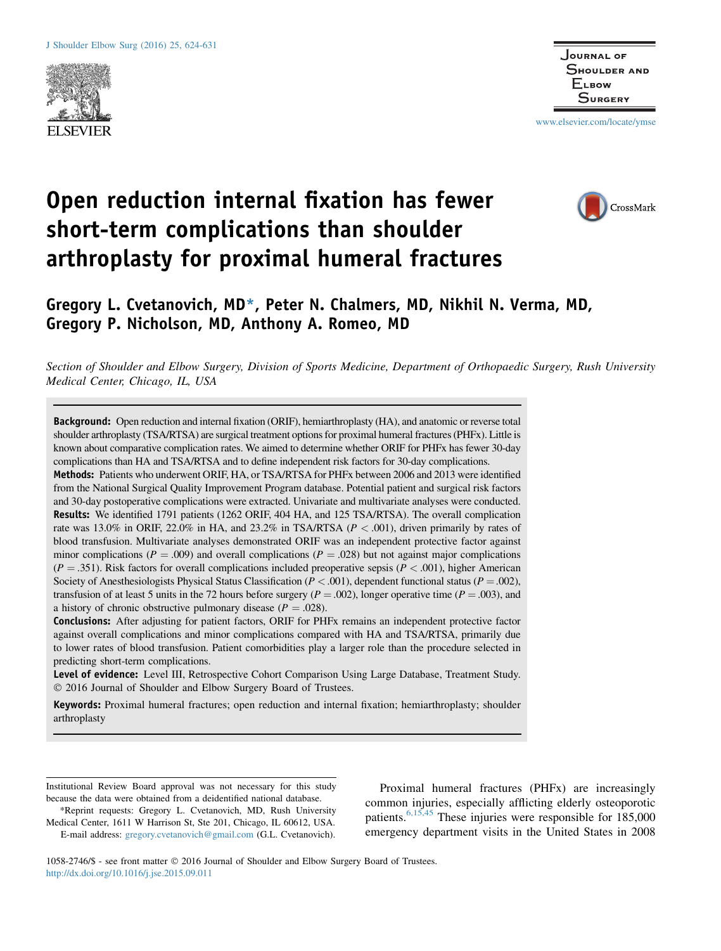



www.elsevier.com/locate/ymse

# Open reduction internal fixation has fewer short-term complications than shoulder arthroplasty for proximal humeral fractures



## Gregory L. Cvetanovich, MD\*, Peter N. Chalmers, MD, Nikhil N. Verma, MD, Gregory P. Nicholson, MD, Anthony A. Romeo, MD

Section of Shoulder and Elbow Surgery, Division of Sports Medicine, Department of Orthopaedic Surgery, Rush University Medical Center, Chicago, IL, USA

Background: Open reduction and internal fixation (ORIF), hemiarthroplasty (HA), and anatomic or reverse total shoulder arthroplasty (TSA/RTSA) are surgical treatment options for proximal humeral fractures (PHFx). Little is known about comparative complication rates. We aimed to determine whether ORIF for PHFx has fewer 30-day complications than HA and TSA/RTSA and to define independent risk factors for 30-day complications.

Methods: Patients who underwent ORIF, HA, or TSA/RTSA for PHFx between 2006 and 2013 were identified from the National Surgical Quality Improvement Program database. Potential patient and surgical risk factors and 30-day postoperative complications were extracted. Univariate and multivariate analyses were conducted. Results: We identified 1791 patients (1262 ORIF, 404 HA, and 125 TSA/RTSA). The overall complication rate was 13.0% in ORIF, 22.0% in HA, and 23.2% in TSA/RTSA ( $P < .001$ ), driven primarily by rates of blood transfusion. Multivariate analyses demonstrated ORIF was an independent protective factor against minor complications ( $P = .009$ ) and overall complications ( $P = .028$ ) but not against major complications  $(P = .351)$ . Risk factors for overall complications included preoperative sepsis ( $P < .001$ ), higher American Society of Anesthesiologists Physical Status Classification ( $P < .001$ ), dependent functional status ( $P = .002$ ), transfusion of at least 5 units in the 72 hours before surgery ( $P = .002$ ), longer operative time ( $P = .003$ ), and a history of chronic obstructive pulmonary disease ( $P = .028$ ).

Conclusions: After adjusting for patient factors, ORIF for PHFx remains an independent protective factor against overall complications and minor complications compared with HA and TSA/RTSA, primarily due to lower rates of blood transfusion. Patient comorbidities play a larger role than the procedure selected in predicting short-term complications.

Level of evidence: Level III, Retrospective Cohort Comparison Using Large Database, Treatment Study. 2016 Journal of Shoulder and Elbow Surgery Board of Trustees.

Keywords: Proximal humeral fractures; open reduction and internal fixation; hemiarthroplasty; shoulder arthroplasty

Medical Center, 1611 W Harrison St, Ste 201, Chicago, IL 60612, USA. E-mail address: gregory.cvetanovich@gmail.com (G.L. Cvetanovich).

Proximal humeral fractures (PHFx) are increasingly common injuries, especially afflicting elderly osteoporotic patients.  $6,15,45$  These injuries were responsible for 185,000 emergency department visits in the United States in 2008

1058-2746/\$ - see front matter 2016 Journal of Shoulder and Elbow Surgery Board of Trustees. http://dx.doi.org/10.1016/j.jse.2015.09.011

Institutional Review Board approval was not necessary for this study because the data were obtained from a deidentified national database. \*Reprint requests: Gregory L. Cvetanovich, MD, Rush University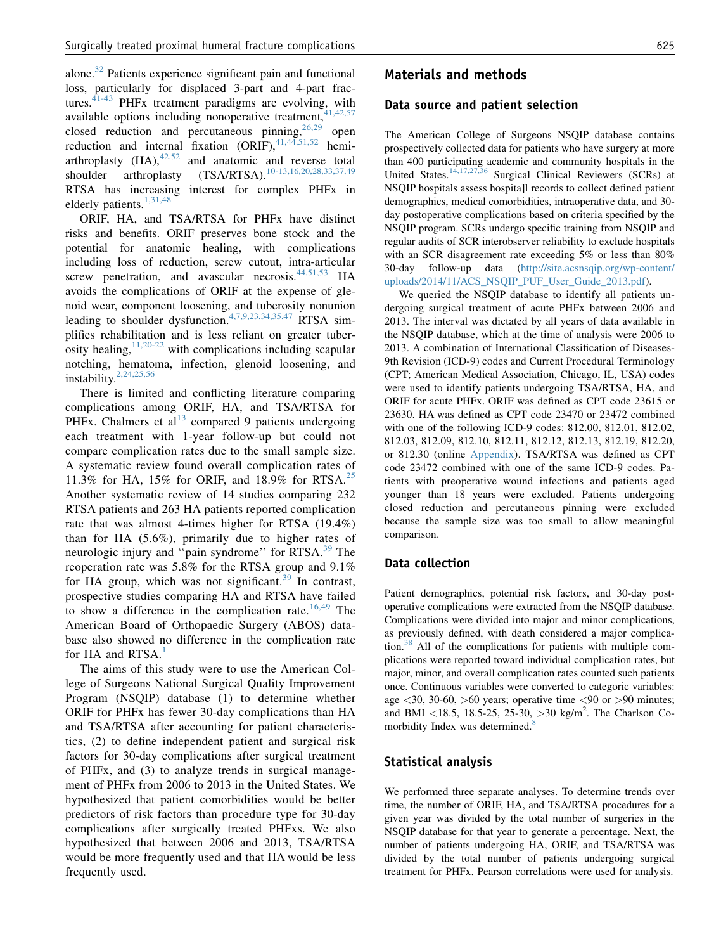alone.<sup>32</sup> Patients experience significant pain and functional loss, particularly for displaced 3-part and 4-part fractures. $41-43$  PHFx treatment paradigms are evolving, with available options including nonoperative treatment,<sup>4</sup> closed reduction and percutaneous pinning,  $26,29$  open reduction and internal fixation  $\overrightarrow{(ORIF)}$ ,  $^{41,44,51,52}$  hemiarthroplasty  $(HA)$ ,  $42,52$  and anatomic and reverse total shoulder arthroplasty (TSA/RTSA).<sup>10-13,16,20,28,33,37,49</sup> RTSA has increasing interest for complex PHFx in elderly patients.<sup>1,31,48</sup>

ORIF, HA, and TSA/RTSA for PHFx have distinct risks and benefits. ORIF preserves bone stock and the potential for anatomic healing, with complications including loss of reduction, screw cutout, intra-articular screw penetration, and avascular necrosis.<sup>44,51,53</sup> HA avoids the complications of ORIF at the expense of glenoid wear, component loosening, and tuberosity nonunion leading to shoulder dysfunction.<sup>4,7,9,23,34,35,47</sup> RTSA simplifies rehabilitation and is less reliant on greater tuberosity healing,  $11,20-22$  with complications including scapular notching, hematoma, infection, glenoid loosening, and instability.2,24,25,56

There is limited and conflicting literature comparing complications among ORIF, HA, and TSA/RTSA for PHFx. Chalmers et  $al<sup>13</sup>$  compared 9 patients undergoing each treatment with 1-year follow-up but could not compare complication rates due to the small sample size. A systematic review found overall complication rates of 11.3% for HA, 15% for ORIF, and 18.9% for RTSA.<sup>25</sup> Another systematic review of 14 studies comparing 232 RTSA patients and 263 HA patients reported complication rate that was almost 4-times higher for RTSA (19.4%) than for HA (5.6%), primarily due to higher rates of neurologic injury and "pain syndrome" for RTSA.<sup>39</sup> The reoperation rate was 5.8% for the RTSA group and 9.1% for HA group, which was not significant.<sup>39</sup> In contrast, prospective studies comparing HA and RTSA have failed to show a difference in the complication rate.<sup>16,49</sup> The American Board of Orthopaedic Surgery (ABOS) database also showed no difference in the complication rate for HA and RTSA.<sup>1</sup>

The aims of this study were to use the American College of Surgeons National Surgical Quality Improvement Program (NSQIP) database (1) to determine whether ORIF for PHFx has fewer 30-day complications than HA and TSA/RTSA after accounting for patient characteristics, (2) to define independent patient and surgical risk factors for 30-day complications after surgical treatment of PHFx, and (3) to analyze trends in surgical management of PHFx from 2006 to 2013 in the United States. We hypothesized that patient comorbidities would be better predictors of risk factors than procedure type for 30-day complications after surgically treated PHFxs. We also hypothesized that between 2006 and 2013, TSA/RTSA would be more frequently used and that HA would be less frequently used.

## Materials and methods

#### Data source and patient selection

The American College of Surgeons NSQIP database contains prospectively collected data for patients who have surgery at more than 400 participating academic and community hospitals in the United States.14,17,27,36 Surgical Clinical Reviewers (SCRs) at NSQIP hospitals assess hospita]l records to collect defined patient demographics, medical comorbidities, intraoperative data, and 30 day postoperative complications based on criteria specified by the NSQIP program. SCRs undergo specific training from NSQIP and regular audits of SCR interobserver reliability to exclude hospitals with an SCR disagreement rate exceeding 5% or less than 80% 30-day follow-up data (http://site.acsnsqip.org/wp-content/ uploads/2014/11/ACS\_NSQIP\_PUF\_User\_Guide\_2013.pdf).

We queried the NSQIP database to identify all patients undergoing surgical treatment of acute PHFx between 2006 and 2013. The interval was dictated by all years of data available in the NSQIP database, which at the time of analysis were 2006 to 2013. A combination of International Classification of Diseases-9th Revision (ICD-9) codes and Current Procedural Terminology (CPT; American Medical Association, Chicago, IL, USA) codes were used to identify patients undergoing TSA/RTSA, HA, and ORIF for acute PHFx. ORIF was defined as CPT code 23615 or 23630. HA was defined as CPT code 23470 or 23472 combined with one of the following ICD-9 codes: 812.00, 812.01, 812.02, 812.03, 812.09, 812.10, 812.11, 812.12, 812.13, 812.19, 812.20, or 812.30 (online Appendix). TSA/RTSA was defined as CPT code 23472 combined with one of the same ICD-9 codes. Patients with preoperative wound infections and patients aged younger than 18 years were excluded. Patients undergoing closed reduction and percutaneous pinning were excluded because the sample size was too small to allow meaningful comparison.

#### Data collection

Patient demographics, potential risk factors, and 30-day postoperative complications were extracted from the NSQIP database. Complications were divided into major and minor complications, as previously defined, with death considered a major complication.<sup>38</sup> All of the complications for patients with multiple complications were reported toward individual complication rates, but major, minor, and overall complication rates counted such patients once. Continuous variables were converted to categoric variables: age  $\langle 30, 30-60, \rangle$  solo years; operative time  $\langle 90 \rangle$  or  $\langle 90 \rangle$  minutes; and BMI <18.5, 18.5-25, 25-30, >30 kg/m<sup>2</sup>. The Charlson Comorbidity Index was determined.<sup>8</sup>

#### Statistical analysis

We performed three separate analyses. To determine trends over time, the number of ORIF, HA, and TSA/RTSA procedures for a given year was divided by the total number of surgeries in the NSQIP database for that year to generate a percentage. Next, the number of patients undergoing HA, ORIF, and TSA/RTSA was divided by the total number of patients undergoing surgical treatment for PHFx. Pearson correlations were used for analysis.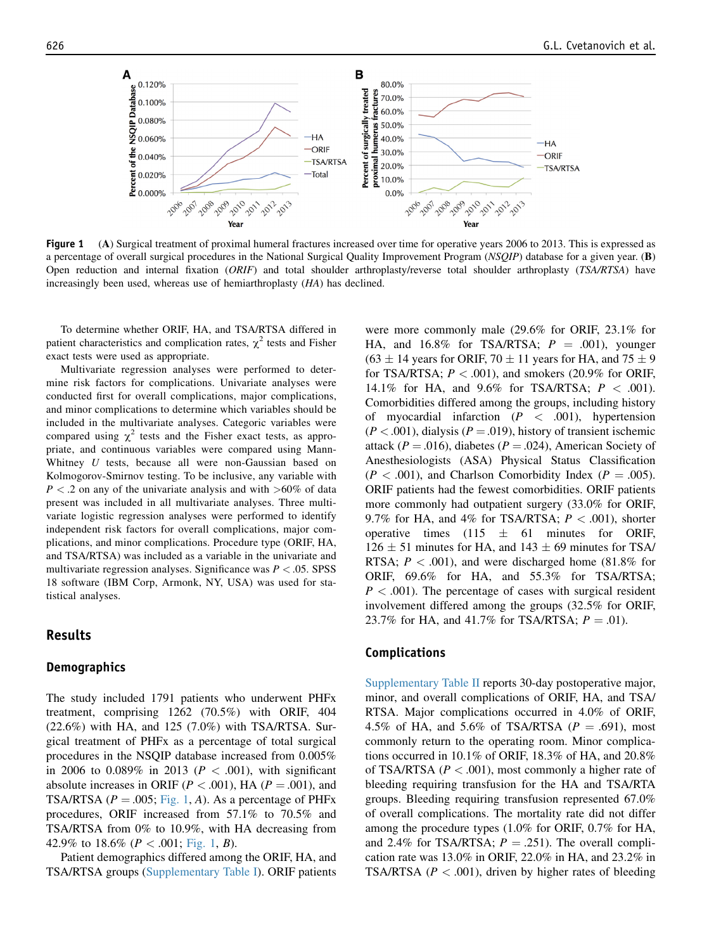

Figure 1 (A) Surgical treatment of proximal humeral fractures increased over time for operative years 2006 to 2013. This is expressed as a percentage of overall surgical procedures in the National Surgical Quality Improvement Program (NSQIP) database for a given year. (B) Open reduction and internal fixation (ORIF) and total shoulder arthroplasty/reverse total shoulder arthroplasty (TSA/RTSA) have increasingly been used, whereas use of hemiarthroplasty (HA) has declined.

To determine whether ORIF, HA, and TSA/RTSA differed in patient characteristics and complication rates,  $\chi^2$  tests and Fisher exact tests were used as appropriate.

Multivariate regression analyses were performed to determine risk factors for complications. Univariate analyses were conducted first for overall complications, major complications, and minor complications to determine which variables should be included in the multivariate analyses. Categoric variables were compared using  $\chi^2$  tests and the Fisher exact tests, as appropriate, and continuous variables were compared using Mann-Whitney U tests, because all were non-Gaussian based on Kolmogorov-Smirnov testing. To be inclusive, any variable with  $P < 0.2$  on any of the univariate analysis and with  $> 60\%$  of data present was included in all multivariate analyses. Three multivariate logistic regression analyses were performed to identify independent risk factors for overall complications, major complications, and minor complications. Procedure type (ORIF, HA, and TSA/RTSA) was included as a variable in the univariate and multivariate regression analyses. Significance was  $P < 0.05$ . SPSS 18 software (IBM Corp, Armonk, NY, USA) was used for statistical analyses.

#### Results

#### **Demographics**

The study included 1791 patients who underwent PHFx treatment, comprising 1262 (70.5%) with ORIF, 404 (22.6%) with HA, and 125 (7.0%) with TSA/RTSA. Surgical treatment of PHFx as a percentage of total surgical procedures in the NSQIP database increased from 0.005% in 2006 to 0.089% in 2013 ( $P < .001$ ), with significant absolute increases in ORIF ( $P < .001$ ), HA ( $P = .001$ ), and TSA/RTSA ( $P = .005$ ; Fig. 1, A). As a percentage of PHFx procedures, ORIF increased from 57.1% to 70.5% and TSA/RTSA from 0% to 10.9%, with HA decreasing from 42.9% to 18.6% ( $P < .001$ ; Fig. 1, B).

Patient demographics differed among the ORIF, HA, and TSA/RTSA groups (Supplementary Table I). ORIF patients were more commonly male (29.6% for ORIF, 23.1% for HA, and 16.8% for TSA/RTSA;  $P = .001$ ), younger  $(63 \pm 14)$  years for ORIF,  $70 \pm 11$  years for HA, and  $75 \pm 9$ for TSA/RTSA;  $P < .001$ ), and smokers (20.9% for ORIF, 14.1% for HA, and 9.6% for TSA/RTSA;  $P < .001$ ). Comorbidities differed among the groups, including history of myocardial infarction  $(P \lt 0.001)$ , hypertension  $(P < .001)$ , dialysis  $(P = .019)$ , history of transient ischemic attack ( $P = .016$ ), diabetes ( $P = .024$ ), American Society of Anesthesiologists (ASA) Physical Status Classification  $(P < .001)$ , and Charlson Comorbidity Index  $(P = .005)$ . ORIF patients had the fewest comorbidities. ORIF patients more commonly had outpatient surgery (33.0% for ORIF, 9.7% for HA, and 4% for TSA/RTSA;  $P < .001$ ), shorter operative times  $(115 \pm 61)$  minutes for ORIF,  $126 \pm 51$  minutes for HA, and  $143 \pm 69$  minutes for TSA/ RTSA;  $P < .001$ ), and were discharged home (81.8% for ORIF, 69.6% for HA, and 55.3% for TSA/RTSA;  $P < .001$ ). The percentage of cases with surgical resident involvement differed among the groups (32.5% for ORIF, 23.7% for HA, and 41.7% for TSA/RTSA;  $P = .01$ ).

#### Complications

Supplementary Table II reports 30-day postoperative major, minor, and overall complications of ORIF, HA, and TSA/ RTSA. Major complications occurred in 4.0% of ORIF, 4.5% of HA, and 5.6% of TSA/RTSA ( $P = .691$ ), most commonly return to the operating room. Minor complications occurred in 10.1% of ORIF, 18.3% of HA, and 20.8% of TSA/RTSA ( $P < .001$ ), most commonly a higher rate of bleeding requiring transfusion for the HA and TSA/RTA groups. Bleeding requiring transfusion represented 67.0% of overall complications. The mortality rate did not differ among the procedure types (1.0% for ORIF, 0.7% for HA, and 2.4% for TSA/RTSA;  $P = .251$ ). The overall complication rate was 13.0% in ORIF, 22.0% in HA, and 23.2% in TSA/RTSA ( $P < .001$ ), driven by higher rates of bleeding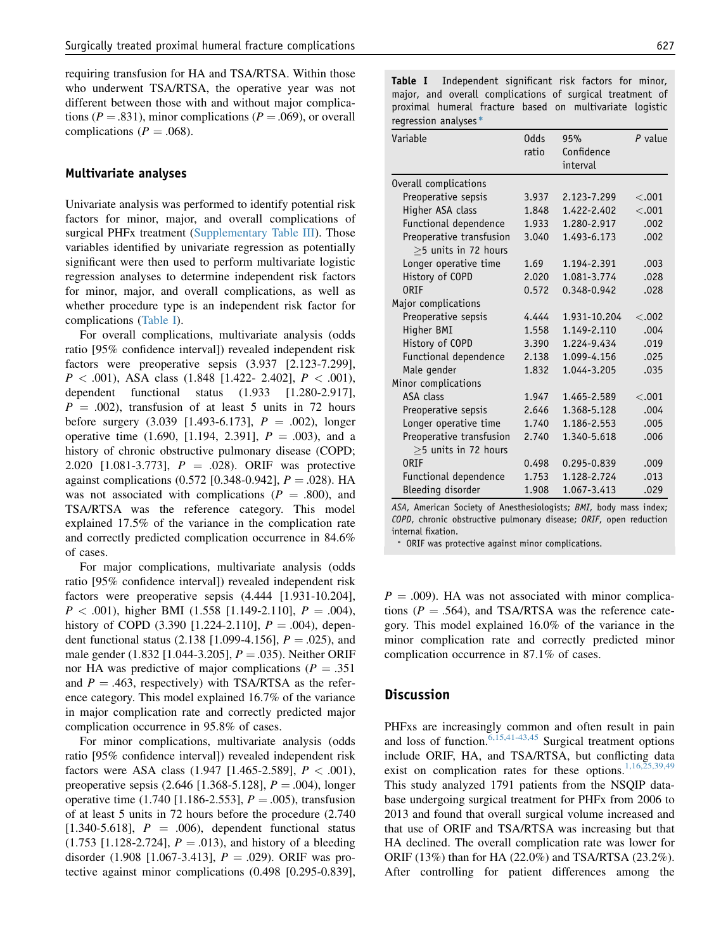requiring transfusion for HA and TSA/RTSA. Within those who underwent TSA/RTSA, the operative year was not different between those with and without major complications ( $P = .831$ ), minor complications ( $P = .069$ ), or overall complications ( $P = .068$ ).

#### Multivariate analyses

Univariate analysis was performed to identify potential risk factors for minor, major, and overall complications of surgical PHFx treatment (Supplementary Table III). Those variables identified by univariate regression as potentially significant were then used to perform multivariate logistic regression analyses to determine independent risk factors for minor, major, and overall complications, as well as whether procedure type is an independent risk factor for complications (Table I).

For overall complications, multivariate analysis (odds ratio [95% confidence interval]) revealed independent risk factors were preoperative sepsis (3.937 [2.123-7.299],  $P < .001$ ), ASA class (1.848 [1.422- 2.402],  $P < .001$ ), dependent functional status (1.933 [1.280-2.917],  $P = .002$ ), transfusion of at least 5 units in 72 hours before surgery  $(3.039 \, [1.493-6.173], P = .002)$ , longer operative time  $(1.690, [1.194, 2.391], P = .003)$ , and a history of chronic obstructive pulmonary disease (COPD; 2.020 [1.081-3.773],  $P = .028$ ). ORIF was protective against complications  $(0.572 \; [0.348 \; 0.942], P = .028)$ . HA was not associated with complications ( $P = .800$ ), and TSA/RTSA was the reference category. This model explained 17.5% of the variance in the complication rate and correctly predicted complication occurrence in 84.6% of cases.

For major complications, multivariate analysis (odds ratio [95% confidence interval]) revealed independent risk factors were preoperative sepsis (4.444 [1.931-10.204],  $P < .001$ ), higher BMI (1.558 [1.149-2.110],  $P = .004$ ), history of COPD (3.390 [1.224-2.110],  $P = .004$ ), dependent functional status  $(2.138 \, [1.099-4.156], P = .025)$ , and male gender (1.832 [1.044-3.205],  $P = .035$ ). Neither ORIF nor HA was predictive of major complications ( $P = .351$ ) and  $P = .463$ , respectively) with TSA/RTSA as the reference category. This model explained 16.7% of the variance in major complication rate and correctly predicted major complication occurrence in 95.8% of cases.

For minor complications, multivariate analysis (odds ratio [95% confidence interval]) revealed independent risk factors were ASA class  $(1.947 \; [1.465-2.589], P < .001)$ , preoperative sepsis (2.646 [1.368-5.128],  $P = .004$ ), longer operative time (1.740 [1.186-2.553],  $P = .005$ ), transfusion of at least 5 units in 72 hours before the procedure (2.740 [1.340-5.618],  $P = .006$ ), dependent functional status  $(1.753 \; [1.128-2.724], P = .013)$ , and history of a bleeding disorder (1.908 [1.067-3.413],  $P = .029$ ). ORIF was protective against minor complications (0.498 [0.295-0.839],

Table I Independent significant risk factors for minor, major, and overall complications of surgical treatment of proximal humeral fracture based on multivariate logistic regression analyses)

| Variable                                               | Odds<br>ratio | 95%<br>Confidence<br>interval | $P$ value |
|--------------------------------------------------------|---------------|-------------------------------|-----------|
| Overall complications                                  |               |                               |           |
| Preoperative sepsis                                    | 3.937         | 2.123-7.299                   | < .001    |
| Higher ASA class                                       | 1.848         | 1.422-2.402                   | < .001    |
| Functional dependence                                  | 1.933         | 1.280-2.917                   | .002      |
| Preoperative transfusion<br>$\geq$ 5 units in 72 hours | 3.040         | 1.493-6.173                   | .002      |
| Longer operative time                                  | 1.69          | 1.194-2.391                   | .003      |
| History of COPD                                        | 2.020         | 1.081-3.774                   | .028      |
| ORTF                                                   | 0.572         | 0.348-0.942                   | .028      |
| Major complications                                    |               |                               |           |
| Preoperative sepsis                                    | 4.444         | 1.931-10.204                  | < 0.002   |
| Higher BMI                                             | 1.558         | 1.149-2.110                   | .004      |
| History of COPD                                        | 3.390         | 1.224-9.434                   | .019      |
| Functional dependence                                  | 2.138         | 1.099-4.156                   | .025      |
| Male gender                                            | 1.832         | 1.044-3.205                   | .035      |
| Minor complications                                    |               |                               |           |
| ASA class                                              | 1.947         | 1.465-2.589                   | < .001    |
| Preoperative sepsis                                    | 2.646         | 1.368-5.128                   | .004      |
| Longer operative time                                  | 1.740         | 1.186-2.553                   | .005      |
| Preoperative transfusion<br>$>$ 5 units in 72 hours    | 2.740         | 1.340-5.618                   | .006      |
| <b>ORIF</b>                                            | 0.498         | 0.295-0.839                   | .009      |
| Functional dependence                                  | 1.753         | 1.128-2.724                   | .013      |
| Bleeding disorder                                      | 1.908         | 1.067-3.413                   | .029      |

ASA, American Society of Anesthesiologists; BMI, body mass index; COPD, chronic obstructive pulmonary disease; ORIF, open reduction internal fixation.

) ORIF was protective against minor complications.

 $P = .009$ ). HA was not associated with minor complications ( $P = .564$ ), and TSA/RTSA was the reference category. This model explained 16.0% of the variance in the minor complication rate and correctly predicted minor complication occurrence in 87.1% of cases.

### **Discussion**

PHFxs are increasingly common and often result in pain and loss of function.  $6,15,41-43,45$  Surgical treatment options include ORIF, HA, and TSA/RTSA, but conflicting data exist on complication rates for these options.<sup>1,16,25,39,49</sup> This study analyzed 1791 patients from the NSQIP database undergoing surgical treatment for PHFx from 2006 to 2013 and found that overall surgical volume increased and that use of ORIF and TSA/RTSA was increasing but that HA declined. The overall complication rate was lower for ORIF (13%) than for HA (22.0%) and TSA/RTSA (23.2%). After controlling for patient differences among the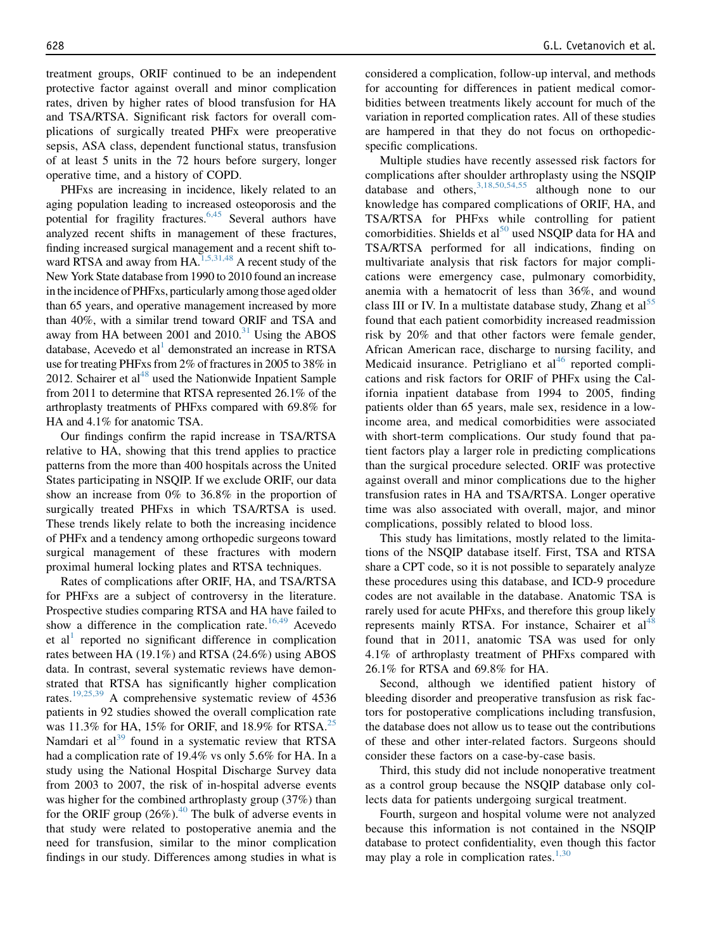treatment groups, ORIF continued to be an independent protective factor against overall and minor complication rates, driven by higher rates of blood transfusion for HA and TSA/RTSA. Significant risk factors for overall complications of surgically treated PHFx were preoperative sepsis, ASA class, dependent functional status, transfusion of at least 5 units in the 72 hours before surgery, longer operative time, and a history of COPD.

PHFxs are increasing in incidence, likely related to an aging population leading to increased osteoporosis and the potential for fragility fractures.<sup>6,45</sup> Several authors have analyzed recent shifts in management of these fractures, finding increased surgical management and a recent shift toward RTSA and away from HA.<sup>1,5,31,48</sup> A recent study of the New York State database from 1990 to 2010 found an increase inthe incidence of PHFxs, particularly among those aged older than 65 years, and operative management increased by more than 40%, with a similar trend toward ORIF and TSA and away from HA between  $2001$  and  $2010$ .<sup>31</sup> Using the ABOS database, Acevedo et al<sup>1</sup> demonstrated an increase in RTSA use for treating PHFxs from 2% of fractures in 2005 to 38% in 2012. Schairer et al $^{48}$  used the Nationwide Inpatient Sample from 2011 to determine that RTSA represented 26.1% of the arthroplasty treatments of PHFxs compared with 69.8% for HA and 4.1% for anatomic TSA.

Our findings confirm the rapid increase in TSA/RTSA relative to HA, showing that this trend applies to practice patterns from the more than 400 hospitals across the United States participating in NSQIP. If we exclude ORIF, our data show an increase from 0% to 36.8% in the proportion of surgically treated PHFxs in which TSA/RTSA is used. These trends likely relate to both the increasing incidence of PHFx and a tendency among orthopedic surgeons toward surgical management of these fractures with modern proximal humeral locking plates and RTSA techniques.

Rates of complications after ORIF, HA, and TSA/RTSA for PHFxs are a subject of controversy in the literature. Prospective studies comparing RTSA and HA have failed to show a difference in the complication rate. $16,49$  Acevedo et al<sup>1</sup> reported no significant difference in complication rates between HA (19.1%) and RTSA (24.6%) using ABOS data. In contrast, several systematic reviews have demonstrated that RTSA has significantly higher complication rates.19,25,39 A comprehensive systematic review of 4536 patients in 92 studies showed the overall complication rate was  $11.3\%$  for HA, 15% for ORIF, and 18.9% for RTSA.<sup>25</sup> Namdari et al $^{39}$  found in a systematic review that RTSA had a complication rate of 19.4% vs only 5.6% for HA. In a study using the National Hospital Discharge Survey data from 2003 to 2007, the risk of in-hospital adverse events was higher for the combined arthroplasty group (37%) than for the ORIF group  $(26\%)$ .<sup>40</sup> The bulk of adverse events in that study were related to postoperative anemia and the need for transfusion, similar to the minor complication findings in our study. Differences among studies in what is considered a complication, follow-up interval, and methods for accounting for differences in patient medical comorbidities between treatments likely account for much of the variation in reported complication rates. All of these studies are hampered in that they do not focus on orthopedicspecific complications.

Multiple studies have recently assessed risk factors for complications after shoulder arthroplasty using the NSQIP database and others,  $3,18,50,54,55$  although none to our knowledge has compared complications of ORIF, HA, and TSA/RTSA for PHFxs while controlling for patient comorbidities. Shields et al<sup>50</sup> used NSQIP data for HA and TSA/RTSA performed for all indications, finding on multivariate analysis that risk factors for major complications were emergency case, pulmonary comorbidity, anemia with a hematocrit of less than 36%, and wound class III or IV. In a multistate database study, Zhang et al<sup>55</sup> found that each patient comorbidity increased readmission risk by 20% and that other factors were female gender, African American race, discharge to nursing facility, and Medicaid insurance. Petrigliano et  $al<sup>46</sup>$  reported complications and risk factors for ORIF of PHFx using the California inpatient database from 1994 to 2005, finding patients older than 65 years, male sex, residence in a lowincome area, and medical comorbidities were associated with short-term complications. Our study found that patient factors play a larger role in predicting complications than the surgical procedure selected. ORIF was protective against overall and minor complications due to the higher transfusion rates in HA and TSA/RTSA. Longer operative time was also associated with overall, major, and minor complications, possibly related to blood loss.

This study has limitations, mostly related to the limitations of the NSQIP database itself. First, TSA and RTSA share a CPT code, so it is not possible to separately analyze these procedures using this database, and ICD-9 procedure codes are not available in the database. Anatomic TSA is rarely used for acute PHFxs, and therefore this group likely represents mainly RTSA. For instance, Schairer et  $al<sup>48</sup>$ found that in 2011, anatomic TSA was used for only 4.1% of arthroplasty treatment of PHFxs compared with 26.1% for RTSA and 69.8% for HA.

Second, although we identified patient history of bleeding disorder and preoperative transfusion as risk factors for postoperative complications including transfusion, the database does not allow us to tease out the contributions of these and other inter-related factors. Surgeons should consider these factors on a case-by-case basis.

Third, this study did not include nonoperative treatment as a control group because the NSQIP database only collects data for patients undergoing surgical treatment.

Fourth, surgeon and hospital volume were not analyzed because this information is not contained in the NSQIP database to protect confidentiality, even though this factor may play a role in complication rates. $1,30$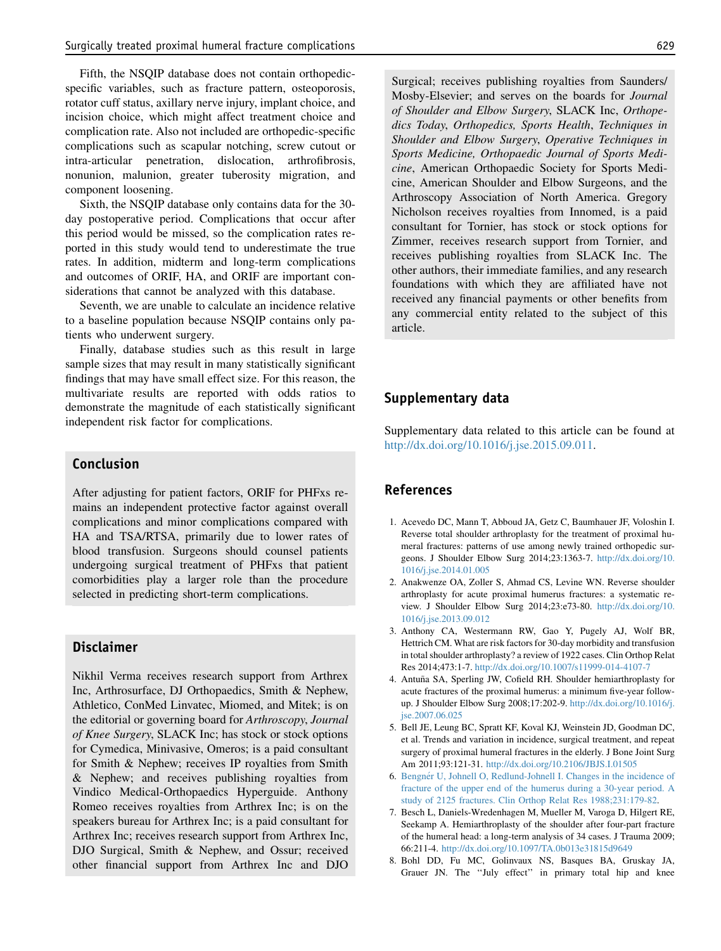Fifth, the NSQIP database does not contain orthopedicspecific variables, such as fracture pattern, osteoporosis, rotator cuff status, axillary nerve injury, implant choice, and incision choice, which might affect treatment choice and complication rate. Also not included are orthopedic-specific complications such as scapular notching, screw cutout or intra-articular penetration, dislocation, arthrofibrosis, nonunion, malunion, greater tuberosity migration, and component loosening.

Sixth, the NSQIP database only contains data for the 30 day postoperative period. Complications that occur after this period would be missed, so the complication rates reported in this study would tend to underestimate the true rates. In addition, midterm and long-term complications and outcomes of ORIF, HA, and ORIF are important considerations that cannot be analyzed with this database.

Seventh, we are unable to calculate an incidence relative to a baseline population because NSQIP contains only patients who underwent surgery.

Finally, database studies such as this result in large sample sizes that may result in many statistically significant findings that may have small effect size. For this reason, the multivariate results are reported with odds ratios to demonstrate the magnitude of each statistically significant independent risk factor for complications.

## Conclusion

After adjusting for patient factors, ORIF for PHFxs remains an independent protective factor against overall complications and minor complications compared with HA and TSA/RTSA, primarily due to lower rates of blood transfusion. Surgeons should counsel patients undergoing surgical treatment of PHFxs that patient comorbidities play a larger role than the procedure selected in predicting short-term complications.

## Disclaimer

Nikhil Verma receives research support from Arthrex Inc, Arthrosurface, DJ Orthopaedics, Smith & Nephew, Athletico, ConMed Linvatec, Miomed, and Mitek; is on the editorial or governing board for Arthroscopy, Journal of Knee Surgery, SLACK Inc; has stock or stock options for Cymedica, Minivasive, Omeros; is a paid consultant for Smith & Nephew; receives IP royalties from Smith & Nephew; and receives publishing royalties from Vindico Medical-Orthopaedics Hyperguide. Anthony Romeo receives royalties from Arthrex Inc; is on the speakers bureau for Arthrex Inc; is a paid consultant for Arthrex Inc; receives research support from Arthrex Inc, DJO Surgical, Smith & Nephew, and Ossur; received other financial support from Arthrex Inc and DJO

Surgical; receives publishing royalties from Saunders/ Mosby-Elsevier; and serves on the boards for Journal of Shoulder and Elbow Surgery, SLACK Inc, Orthopedics Today, Orthopedics, Sports Health, Techniques in Shoulder and Elbow Surgery, Operative Techniques in Sports Medicine, Orthopaedic Journal of Sports Medicine, American Orthopaedic Society for Sports Medicine, American Shoulder and Elbow Surgeons, and the Arthroscopy Association of North America. Gregory Nicholson receives royalties from Innomed, is a paid consultant for Tornier, has stock or stock options for Zimmer, receives research support from Tornier, and receives publishing royalties from SLACK Inc. The other authors, their immediate families, and any research foundations with which they are affiliated have not received any financial payments or other benefits from any commercial entity related to the subject of this article.

#### Supplementary data

Supplementary data related to this article can be found at http://dx.doi.org/10.1016/j.jse.2015.09.011.

## References

- 1. Acevedo DC, Mann T, Abboud JA, Getz C, Baumhauer JF, Voloshin I. Reverse total shoulder arthroplasty for the treatment of proximal humeral fractures: patterns of use among newly trained orthopedic surgeons. J Shoulder Elbow Surg 2014;23:1363-7. http://dx.doi.org/10. 1016/j.jse.2014.01.005
- 2. Anakwenze OA, Zoller S, Ahmad CS, Levine WN. Reverse shoulder arthroplasty for acute proximal humerus fractures: a systematic review. J Shoulder Elbow Surg 2014;23:e73-80. http://dx.doi.org/10. 1016/j.jse.2013.09.012
- 3. Anthony CA, Westermann RW, Gao Y, Pugely AJ, Wolf BR, Hettrich CM. What are risk factors for 30-day morbidity and transfusion in total shoulder arthroplasty? a review of 1922 cases. Clin Orthop Relat Res 2014;473:1-7. http://dx.doi.org/10.1007/s11999-014-4107-7
- 4. Antuña SA, Sperling JW, Cofield RH. Shoulder hemiarthroplasty for acute fractures of the proximal humerus: a minimum five-year followup. J Shoulder Elbow Surg 2008;17:202-9. http://dx.doi.org/10.1016/j. jse.2007.06.025
- 5. Bell JE, Leung BC, Spratt KF, Koval KJ, Weinstein JD, Goodman DC, et al. Trends and variation in incidence, surgical treatment, and repeat surgery of proximal humeral fractures in the elderly. J Bone Joint Surg Am 2011;93:121-31. http://dx.doi.org/10.2106/JBJS.I.01505
- 6. Bengnér U, Johnell O, Redlund-Johnell I. Changes in the incidence of fracture of the upper end of the humerus during a 30-year period. A study of 2125 fractures. Clin Orthop Relat Res 1988;231:179-82.
- 7. Besch L, Daniels-Wredenhagen M, Mueller M, Varoga D, Hilgert RE, Seekamp A. Hemiarthroplasty of the shoulder after four-part fracture of the humeral head: a long-term analysis of 34 cases. J Trauma 2009; 66:211-4. http://dx.doi.org/10.1097/TA.0b013e31815d9649
- 8. Bohl DD, Fu MC, Golinvaux NS, Basques BA, Gruskay JA, Grauer JN. The ''July effect'' in primary total hip and knee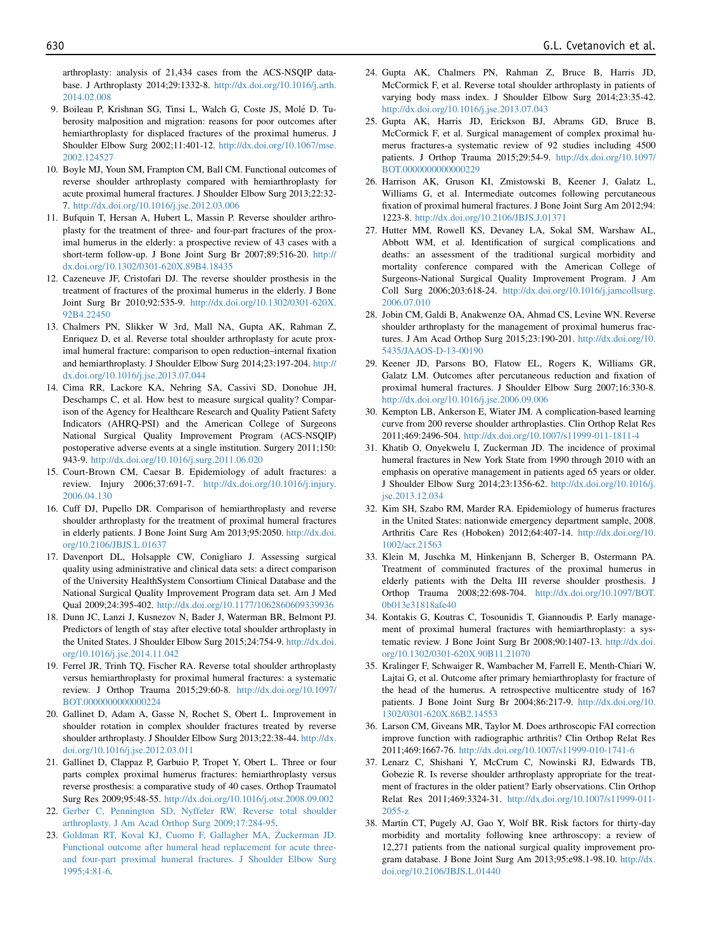arthroplasty: analysis of 21,434 cases from the ACS-NSQIP database. J Arthroplasty 2014;29:1332-8. http://dx.doi.org/10.1016/j.arth. 2014.02.008

- 9. Boileau P, Krishnan SG, Tinsi L, Walch G, Coste JS, Molé D. Tuberosity malposition and migration: reasons for poor outcomes after hemiarthroplasty for displaced fractures of the proximal humerus. J Shoulder Elbow Surg 2002;11:401-12. http://dx.doi.org/10.1067/mse. 2002.124527
- 10. Boyle MJ, Youn SM, Frampton CM, Ball CM. Functional outcomes of reverse shoulder arthroplasty compared with hemiarthroplasty for acute proximal humeral fractures. J Shoulder Elbow Surg 2013;22:32- 7. http://dx.doi.org/10.1016/j.jse.2012.03.006
- 11. Bufquin T, Hersan A, Hubert L, Massin P. Reverse shoulder arthroplasty for the treatment of three- and four-part fractures of the proximal humerus in the elderly: a prospective review of 43 cases with a short-term follow-up. J Bone Joint Surg Br 2007;89:516-20. http:// dx.doi.org/10.1302/0301-620X.89B4.18435
- 12. Cazeneuve JF, Cristofari DJ. The reverse shoulder prosthesis in the treatment of fractures of the proximal humerus in the elderly. J Bone Joint Surg Br 2010;92:535-9. http://dx.doi.org/10.1302/0301-620X. 92B4.22450
- 13. Chalmers PN, Slikker W 3rd, Mall NA, Gupta AK, Rahman Z, Enriquez D, et al. Reverse total shoulder arthroplasty for acute proximal humeral fracture: comparison to open reduction–internal fixation and hemiarthroplasty. J Shoulder Elbow Surg 2014;23:197-204. http:// dx.doi.org/10.1016/j.jse.2013.07.044
- 14. Cima RR, Lackore KA, Nehring SA, Cassivi SD, Donohue JH, Deschamps C, et al. How best to measure surgical quality? Comparison of the Agency for Healthcare Research and Quality Patient Safety Indicators (AHRQ-PSI) and the American College of Surgeons National Surgical Quality Improvement Program (ACS-NSQIP) postoperative adverse events at a single institution. Surgery 2011;150: 943-9. http://dx.doi.org/10.1016/j.surg.2011.06.020
- 15. Court-Brown CM, Caesar B. Epidemiology of adult fractures: a review. Injury 2006;37:691-7. http://dx.doi.org/10.1016/j.injury. 2006.04.130
- 16. Cuff DJ, Pupello DR. Comparison of hemiarthroplasty and reverse shoulder arthroplasty for the treatment of proximal humeral fractures in elderly patients. J Bone Joint Surg Am 2013;95:2050. http://dx.doi. org/10.2106/JBJS.L.01637
- 17. Davenport DL, Holsapple CW, Conigliaro J. Assessing surgical quality using administrative and clinical data sets: a direct comparison of the University HealthSystem Consortium Clinical Database and the National Surgical Quality Improvement Program data set. Am J Med Qual 2009;24:395-402. http://dx.doi.org/10.1177/1062860609339936
- 18. Dunn JC, Lanzi J, Kusnezov N, Bader J, Waterman BR, Belmont PJ. Predictors of length of stay after elective total shoulder arthroplasty in the United States. J Shoulder Elbow Surg 2015;24:754-9. http://dx.doi. org/10.1016/j.jse.2014.11.042
- 19. Ferrel JR, Trinh TQ, Fischer RA. Reverse total shoulder arthroplasty versus hemiarthroplasty for proximal humeral fractures: a systematic review. J Orthop Trauma 2015;29:60-8. http://dx.doi.org/10.1097/ BOT.0000000000000224
- 20. Gallinet D, Adam A, Gasse N, Rochet S, Obert L. Improvement in shoulder rotation in complex shoulder fractures treated by reverse shoulder arthroplasty. J Shoulder Elbow Surg 2013;22:38-44. http://dx. doi.org/10.1016/j.jse.2012.03.011
- 21. Gallinet D, Clappaz P, Garbuio P, Tropet Y, Obert L. Three or four parts complex proximal humerus fractures: hemiarthroplasty versus reverse prosthesis: a comparative study of 40 cases. Orthop Traumatol Surg Res 2009;95:48-55. http://dx.doi.org/10.1016/j.otsr.2008.09.002
- 22. Gerber C, Pennington SD, Nyffeler RW. Reverse total shoulder arthroplasty. J Am Acad Orthop Surg 2009;17:284-95.
- 23. Goldman RT, Koval KJ, Cuomo F, Gallagher MA, Zuckerman JD. Functional outcome after humeral head replacement for acute threeand four-part proximal humeral fractures. J Shoulder Elbow Surg 1995;4:81-6.
- 24. Gupta AK, Chalmers PN, Rahman Z, Bruce B, Harris JD, McCormick F, et al. Reverse total shoulder arthroplasty in patients of varying body mass index. J Shoulder Elbow Surg 2014;23:35-42. http://dx.doi.org/10.1016/j.jse.2013.07.043
- 25. Gupta AK, Harris JD, Erickson BJ, Abrams GD, Bruce B, McCormick F, et al. Surgical management of complex proximal humerus fractures-a systematic review of 92 studies including 4500 patients. J Orthop Trauma 2015;29:54-9. http://dx.doi.org/10.1097/ BOT.0000000000000229
- 26. Harrison AK, Gruson KI, Zmistowski B, Keener J, Galatz L, Williams G, et al. Intermediate outcomes following percutaneous fixation of proximal humeral fractures. J Bone Joint Surg Am 2012;94: 1223-8. http://dx.doi.org/10.2106/JBJS.J.01371
- 27. Hutter MM, Rowell KS, Devaney LA, Sokal SM, Warshaw AL, Abbott WM, et al. Identification of surgical complications and deaths: an assessment of the traditional surgical morbidity and mortality conference compared with the American College of Surgeons-National Surgical Quality Improvement Program. J Am Coll Surg 2006;203:618-24. http://dx.doi.org/10.1016/j.jamcollsurg. 2006.07.010
- 28. Jobin CM, Galdi B, Anakwenze OA, Ahmad CS, Levine WN. Reverse shoulder arthroplasty for the management of proximal humerus fractures. J Am Acad Orthop Surg 2015;23:190-201. http://dx.doi.org/10. 5435/JAAOS-D-13-00190
- 29. Keener JD, Parsons BO, Flatow EL, Rogers K, Williams GR, Galatz LM. Outcomes after percutaneous reduction and fixation of proximal humeral fractures. J Shoulder Elbow Surg 2007;16:330-8. http://dx.doi.org/10.1016/j.jse.2006.09.006
- 30. Kempton LB, Ankerson E, Wiater JM. A complication-based learning curve from 200 reverse shoulder arthroplasties. Clin Orthop Relat Res 2011;469:2496-504. http://dx.doi.org/10.1007/s11999-011-1811-4
- 31. Khatib O, Onyekwelu I, Zuckerman JD. The incidence of proximal humeral fractures in New York State from 1990 through 2010 with an emphasis on operative management in patients aged 65 years or older. J Shoulder Elbow Surg 2014;23:1356-62. http://dx.doi.org/10.1016/j. jse.2013.12.034
- 32. Kim SH, Szabo RM, Marder RA. Epidemiology of humerus fractures in the United States: nationwide emergency department sample, 2008. Arthritis Care Res (Hoboken) 2012;64:407-14. http://dx.doi.org/10. 1002/acr.21563
- 33. Klein M, Juschka M, Hinkenjann B, Scherger B, Ostermann PA. Treatment of comminuted fractures of the proximal humerus in elderly patients with the Delta III reverse shoulder prosthesis. J Orthop Trauma 2008;22:698-704. http://dx.doi.org/10.1097/BOT. 0b013e31818afe40
- 34. Kontakis G, Koutras C, Tosounidis T, Giannoudis P. Early management of proximal humeral fractures with hemiarthroplasty: a systematic review. J Bone Joint Surg Br 2008;90:1407-13. http://dx.doi. org/10.1302/0301-620X.90B11.21070
- 35. Kralinger F, Schwaiger R, Wambacher M, Farrell E, Menth-Chiari W, Lajtai G, et al. Outcome after primary hemiarthroplasty for fracture of the head of the humerus. A retrospective multicentre study of 167 patients. J Bone Joint Surg Br 2004;86:217-9. http://dx.doi.org/10. 1302/0301-620X.86B2.14553
- 36. Larson CM, Giveans MR, Taylor M. Does arthroscopic FAI correction improve function with radiographic arthritis? Clin Orthop Relat Res 2011;469:1667-76. http://dx.doi.org/10.1007/s11999-010-1741-6
- 37. Lenarz C, Shishani Y, McCrum C, Nowinski RJ, Edwards TB, Gobezie R. Is reverse shoulder arthroplasty appropriate for the treatment of fractures in the older patient? Early observations. Clin Orthop Relat Res 2011;469:3324-31. http://dx.doi.org/10.1007/s11999-011- 2055-z
- 38. Martin CT, Pugely AJ, Gao Y, Wolf BR. Risk factors for thirty-day morbidity and mortality following knee arthroscopy: a review of 12,271 patients from the national surgical quality improvement program database. J Bone Joint Surg Am 2013;95:e98.1-98.10. http://dx. doi.org/10.2106/JBJS.L.01440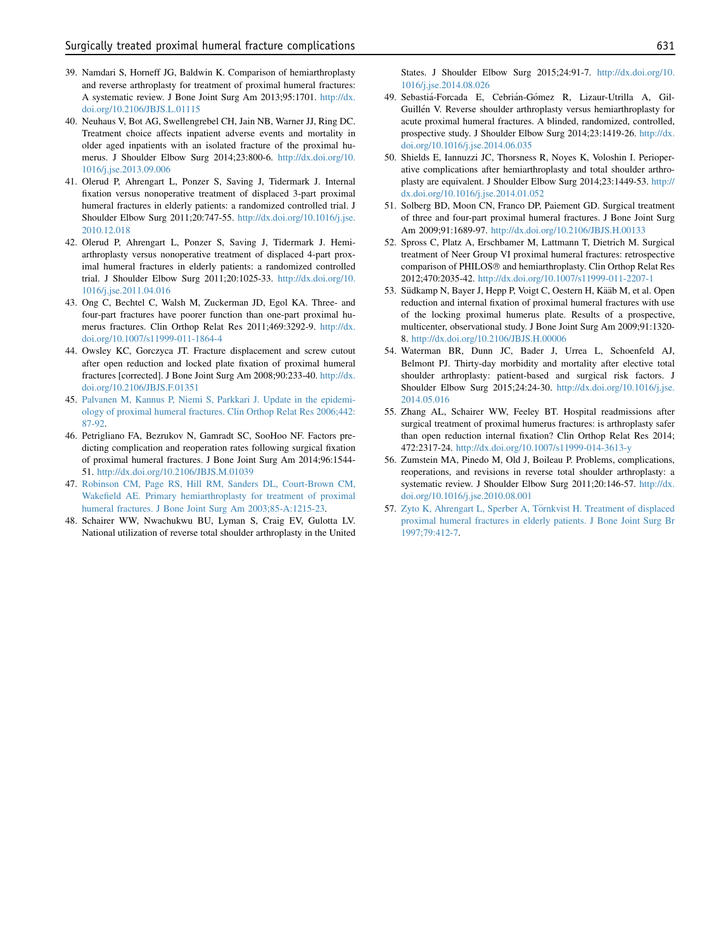- 39. Namdari S, Horneff JG, Baldwin K. Comparison of hemiarthroplasty and reverse arthroplasty for treatment of proximal humeral fractures: A systematic review. J Bone Joint Surg Am 2013;95:1701. http://dx. doi.org/10.2106/JBJS.L.01115
- 40. Neuhaus V, Bot AG, Swellengrebel CH, Jain NB, Warner JJ, Ring DC. Treatment choice affects inpatient adverse events and mortality in older aged inpatients with an isolated fracture of the proximal humerus. J Shoulder Elbow Surg 2014;23:800-6. http://dx.doi.org/10. 1016/j.jse.2013.09.006
- 41. Olerud P, Ahrengart L, Ponzer S, Saving J, Tidermark J. Internal fixation versus nonoperative treatment of displaced 3-part proximal humeral fractures in elderly patients: a randomized controlled trial. J Shoulder Elbow Surg 2011;20:747-55. http://dx.doi.org/10.1016/j.jse. 2010.12.018
- 42. Olerud P, Ahrengart L, Ponzer S, Saving J, Tidermark J. Hemiarthroplasty versus nonoperative treatment of displaced 4-part proximal humeral fractures in elderly patients: a randomized controlled trial. J Shoulder Elbow Surg 2011;20:1025-33. http://dx.doi.org/10. 1016/j.jse.2011.04.016
- 43. Ong C, Bechtel C, Walsh M, Zuckerman JD, Egol KA. Three- and four-part fractures have poorer function than one-part proximal humerus fractures. Clin Orthop Relat Res 2011;469:3292-9. http://dx. doi.org/10.1007/s11999-011-1864-4
- 44. Owsley KC, Gorczyca JT. Fracture displacement and screw cutout after open reduction and locked plate fixation of proximal humeral fractures [corrected]. J Bone Joint Surg Am 2008;90:233-40. http://dx. doi.org/10.2106/JBJS.F.01351
- 45. Palvanen M, Kannus P, Niemi S, Parkkari J. Update in the epidemiology of proximal humeral fractures. Clin Orthop Relat Res 2006;442: 87-92.
- 46. Petrigliano FA, Bezrukov N, Gamradt SC, SooHoo NF. Factors predicting complication and reoperation rates following surgical fixation of proximal humeral fractures. J Bone Joint Surg Am 2014;96:1544- 51. http://dx.doi.org/10.2106/JBJS.M.01039
- 47. Robinson CM, Page RS, Hill RM, Sanders DL, Court-Brown CM, Wakefield AE. Primary hemiarthroplasty for treatment of proximal humeral fractures. J Bone Joint Surg Am 2003;85-A:1215-23.
- 48. Schairer WW, Nwachukwu BU, Lyman S, Craig EV, Gulotta LV. National utilization of reverse total shoulder arthroplasty in the United

States. J Shoulder Elbow Surg 2015;24:91-7. http://dx.doi.org/10. 1016/j.jse.2014.08.026

- 49. Sebastiá-Forcada E, Cebrián-Gómez R, Lizaur-Utrilla A, Gil-Guillén V. Reverse shoulder arthroplasty versus hemiarthroplasty for acute proximal humeral fractures. A blinded, randomized, controlled, prospective study. J Shoulder Elbow Surg 2014;23:1419-26. http://dx. doi.org/10.1016/j.jse.2014.06.035
- 50. Shields E, Iannuzzi JC, Thorsness R, Noyes K, Voloshin I. Perioperative complications after hemiarthroplasty and total shoulder arthroplasty are equivalent. J Shoulder Elbow Surg 2014;23:1449-53. http:// dx.doi.org/10.1016/j.jse.2014.01.052
- 51. Solberg BD, Moon CN, Franco DP, Paiement GD. Surgical treatment of three and four-part proximal humeral fractures. J Bone Joint Surg Am 2009;91:1689-97. http://dx.doi.org/10.2106/JBJS.H.00133
- 52. Spross C, Platz A, Erschbamer M, Lattmann T, Dietrich M. Surgical treatment of Neer Group VI proximal humeral fractures: retrospective comparison of PHILOS<sup>®</sup> and hemiarthroplasty. Clin Orthop Relat Res 2012;470:2035-42. http://dx.doi.org/10.1007/s11999-011-2207-1
- 53. Südkamp N, Bayer J, Hepp P, Voigt C, Oestern H, Kääb M, et al. Open reduction and internal fixation of proximal humeral fractures with use of the locking proximal humerus plate. Results of a prospective, multicenter, observational study. J Bone Joint Surg Am 2009;91:1320- 8. http://dx.doi.org/10.2106/JBJS.H.00006
- 54. Waterman BR, Dunn JC, Bader J, Urrea L, Schoenfeld AJ, Belmont PJ. Thirty-day morbidity and mortality after elective total shoulder arthroplasty: patient-based and surgical risk factors. J Shoulder Elbow Surg 2015;24:24-30. http://dx.doi.org/10.1016/j.jse. 2014.05.016
- 55. Zhang AL, Schairer WW, Feeley BT. Hospital readmissions after surgical treatment of proximal humerus fractures: is arthroplasty safer than open reduction internal fixation? Clin Orthop Relat Res 2014; 472:2317-24. http://dx.doi.org/10.1007/s11999-014-3613-y
- 56. Zumstein MA, Pinedo M, Old J, Boileau P. Problems, complications, reoperations, and revisions in reverse total shoulder arthroplasty: a systematic review. J Shoulder Elbow Surg 2011;20:146-57. http://dx. doi.org/10.1016/j.jse.2010.08.001
- 57. Zyto K, Ahrengart L, Sperber A, Törnkvist H. Treatment of displaced proximal humeral fractures in elderly patients. J Bone Joint Surg Br 1997;79:412-7.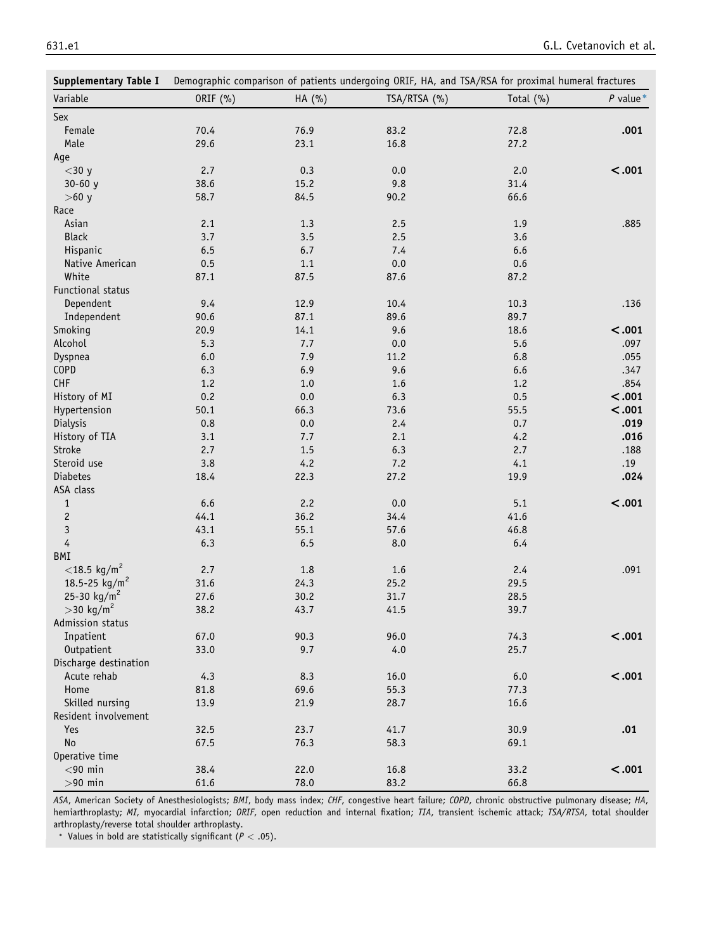| <b>Supplementary Table I</b> |          | Demographic comparison of patients undergoing ORIF, HA, and TSA/RSA for proximal humeral fractures |              |           |            |  |  |  |
|------------------------------|----------|----------------------------------------------------------------------------------------------------|--------------|-----------|------------|--|--|--|
| Variable                     | ORIF (%) | HA (%)                                                                                             | TSA/RTSA (%) | Total (%) | $P$ value* |  |  |  |
| Sex                          |          |                                                                                                    |              |           |            |  |  |  |
| Female                       | 70.4     | 76.9                                                                                               | 83.2         | 72.8      | .001       |  |  |  |
| Male                         | 29.6     | 23.1                                                                                               | 16.8         | 27.2      |            |  |  |  |
| Age                          |          |                                                                                                    |              |           |            |  |  |  |
| $<$ 30 y                     | 2.7      | 0.3                                                                                                | 0.0          | 2.0       | < .001     |  |  |  |
| $30 - 60 y$                  | 38.6     | 15.2                                                                                               | 9.8          | 31.4      |            |  |  |  |
| $>60 y$                      | 58.7     | 84.5                                                                                               | 90.2         | 66.6      |            |  |  |  |
| Race                         |          |                                                                                                    |              |           |            |  |  |  |
| Asian                        | 2.1      | 1.3                                                                                                | 2.5          | 1.9       | .885       |  |  |  |
| <b>Black</b>                 | 3.7      | 3.5                                                                                                | 2.5          | 3.6       |            |  |  |  |
| Hispanic                     | 6.5      | 6.7                                                                                                | 7.4          | 6.6       |            |  |  |  |
| Native American              | 0.5      | 1.1                                                                                                | $0.0\,$      | 0.6       |            |  |  |  |
| White                        | 87.1     | 87.5                                                                                               | 87.6         | 87.2      |            |  |  |  |
| Functional status            |          |                                                                                                    |              |           |            |  |  |  |
| Dependent                    | 9.4      | 12.9                                                                                               | 10.4         | 10.3      | .136       |  |  |  |
| Independent                  | 90.6     | 87.1                                                                                               | 89.6         | 89.7      |            |  |  |  |
| Smoking                      | 20.9     | 14.1                                                                                               | 9.6          | 18.6      | < .001     |  |  |  |
| Alcohol                      | 5.3      | 7.7                                                                                                | $0.0\,$      | 5.6       | .097       |  |  |  |
|                              | $6.0\,$  | 7.9                                                                                                |              |           |            |  |  |  |
| Dyspnea                      | 6.3      | 6.9                                                                                                | 11.2<br>9.6  | 6.8       | .055       |  |  |  |
| <b>COPD</b><br><b>CHF</b>    |          |                                                                                                    |              | 6.6       | .347       |  |  |  |
|                              | 1.2      | $1.0$                                                                                              | 1.6          | 1.2       | .854       |  |  |  |
| History of MI                | 0.2      | 0.0                                                                                                | 6.3          | 0.5       | < .001     |  |  |  |
| Hypertension                 | 50.1     | 66.3                                                                                               | 73.6         | 55.5      | < .001     |  |  |  |
| Dialysis                     | 0.8      | $0.0\,$                                                                                            | 2.4          | 0.7       | .019       |  |  |  |
| History of TIA               | 3.1      | 7.7                                                                                                | 2.1          | 4.2       | .016       |  |  |  |
| Stroke                       | 2.7      | 1.5                                                                                                | 6.3          | 2.7       | .188       |  |  |  |
| Steroid use                  | 3.8      | 4.2                                                                                                | 7.2          | 4.1       | .19        |  |  |  |
| Diabetes                     | 18.4     | 22.3                                                                                               | 27.2         | 19.9      | .024       |  |  |  |
| ASA class                    |          |                                                                                                    |              |           |            |  |  |  |
| $\mathbf{1}$                 | 6.6      | 2.2                                                                                                | $0.0\,$      | 5.1       | < .001     |  |  |  |
| $\sqrt{2}$                   | 44.1     | 36.2                                                                                               | 34.4         | 41.6      |            |  |  |  |
| $\mathsf 3$                  | 43.1     | 55.1                                                                                               | 57.6         | 46.8      |            |  |  |  |
| $\overline{4}$               | 6.3      | 6.5                                                                                                | 8.0          | 6.4       |            |  |  |  |
| BMI                          |          |                                                                                                    |              |           |            |  |  |  |
| $<$ 18.5 kg/m <sup>2</sup>   | 2.7      | 1.8                                                                                                | 1.6          | 2.4       | .091       |  |  |  |
| 18.5-25 kg/m <sup>2</sup>    | 31.6     | 24.3                                                                                               | 25.2         | 29.5      |            |  |  |  |
| 25-30 kg/m <sup>2</sup>      | 27.6     | 30.2                                                                                               | 31.7         | 28.5      |            |  |  |  |
| $>$ 30 kg/m <sup>2</sup>     | 38.2     | 43.7                                                                                               | 41.5         | 39.7      |            |  |  |  |
| Admission status             |          |                                                                                                    |              |           |            |  |  |  |
| Inpatient                    | 67.0     | 90.3                                                                                               | 96.0         | 74.3      | < .001     |  |  |  |
| Outpatient                   | 33.0     | 9.7                                                                                                | 4.0          | 25.7      |            |  |  |  |
| Discharge destination        |          |                                                                                                    |              |           |            |  |  |  |
| Acute rehab                  | 4.3      | 8.3                                                                                                | 16.0         | $6.0\,$   | < .001     |  |  |  |
| Home                         | 81.8     | 69.6                                                                                               | 55.3         | 77.3      |            |  |  |  |
| Skilled nursing              | 13.9     | 21.9                                                                                               | 28.7         | 16.6      |            |  |  |  |
| Resident involvement         |          |                                                                                                    |              |           |            |  |  |  |
| Yes                          | 32.5     | 23.7                                                                                               | 41.7         | 30.9      | .01        |  |  |  |
| No                           | 67.5     | 76.3                                                                                               | 58.3         | 69.1      |            |  |  |  |
| Operative time               |          |                                                                                                    |              |           |            |  |  |  |
| $<$ 90 min                   | 38.4     | 22.0                                                                                               | 16.8         | 33.2      | < .001     |  |  |  |
| $>90$ min                    | 61.6     | 78.0                                                                                               | 83.2         | 66.8      |            |  |  |  |

ASA, American Society of Anesthesiologists; BMI, body mass index; CHF, congestive heart failure; COPD, chronic obstructive pulmonary disease; HA, hemiarthroplasty; MI, myocardial infarction; ORIF, open reduction and internal fixation; TIA, transient ischemic attack; TSA/RTSA, total shoulder arthroplasty/reverse total shoulder arthroplasty.

\* Values in bold are statistically significant ( $P < .05$ ).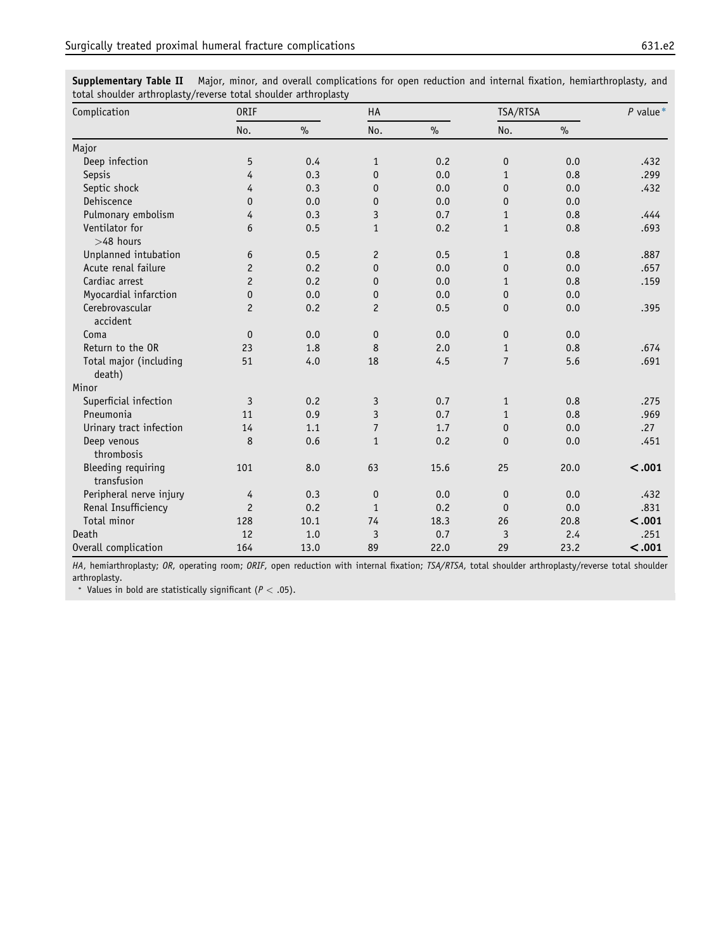Supplementary Table II Major, minor, and overall complications for open reduction and internal fixation, hemiarthroplasty, and total shoulder arthroplasty/reverse total shoulder arthroplasty

| Complication                             | <b>ORIF</b>    |      | HA                      |      | TSA/RTSA       |      | $P$ value* |
|------------------------------------------|----------------|------|-------------------------|------|----------------|------|------------|
|                                          | No.            | $\%$ | No.                     | $\%$ | No.            | $\%$ |            |
| Major                                    |                |      |                         |      |                |      |            |
| Deep infection                           | 5              | 0.4  | $\mathbf{1}$            | 0.2  | $\mathbf 0$    | 0.0  | .432       |
| Sepsis                                   | 4              | 0.3  | $\mathbf 0$             | 0.0  | $\mathbf{1}$   | 0.8  | .299       |
| Septic shock                             | 4              | 0.3  | $\mathbf{0}$            | 0.0  | $\mathbf 0$    | 0.0  | .432       |
| Dehiscence                               | $\mathbf 0$    | 0.0  | $\mathbf 0$             | 0.0  | $\mathbf 0$    | 0.0  |            |
| Pulmonary embolism                       | 4              | 0.3  | $\mathsf 3$             | 0.7  | $\mathbf{1}$   | 0.8  | .444       |
| Ventilator for<br>$>48$ hours            | 6              | 0.5  | $\mathbf{1}$            | 0.2  | $\mathbf{1}$   | 0.8  | .693       |
| Unplanned intubation                     | 6              | 0.5  | $\mathbf{2}$            | 0.5  | $\mathbf{1}$   | 0.8  | .887       |
| Acute renal failure                      | $\mathbf{2}$   | 0.2  | $\pmb{0}$               | 0.0  | $\mathbf 0$    | 0.0  | .657       |
| Cardiac arrest                           | $\overline{c}$ | 0.2  | $\mathbf{0}$            | 0.0  | $\mathbf{1}$   | 0.8  | .159       |
| Myocardial infarction                    | 0              | 0.0  | 0                       | 0.0  | $\mathbf 0$    | 0.0  |            |
| Cerebrovascular<br>accident              | $\overline{c}$ | 0.2  | $\overline{c}$          | 0.5  | $\mathbf 0$    | 0.0  | .395       |
| Coma                                     | $\mathbf{0}$   | 0.0  | $\mathbf 0$             | 0.0  | $\mathbf 0$    | 0.0  |            |
| Return to the OR                         | 23             | 1.8  | 8                       | 2.0  | $\mathbf{1}$   | 0.8  | .674       |
| Total major (including<br>death)         | 51             | 4.0  | 18                      | 4.5  | $\overline{7}$ | 5.6  | .691       |
| Minor                                    |                |      |                         |      |                |      |            |
| Superficial infection                    | 3              | 0.2  | 3                       | 0.7  | $\mathbf{1}$   | 0.8  | .275       |
| Pneumonia                                | 11             | 0.9  | $\mathbf{3}$            | 0.7  | $\mathbf{1}$   | 0.8  | .969       |
| Urinary tract infection                  | 14             | 1.1  | $\overline{7}$          | 1.7  | $\mathbf 0$    | 0.0  | .27        |
| Deep venous<br>thrombosis                | 8              | 0.6  | $\mathbf{1}$            | 0.2  | $\mathbf 0$    | 0.0  | .451       |
| <b>Bleeding requiring</b><br>transfusion | 101            | 8.0  | 63                      | 15.6 | 25             | 20.0 | < .001     |
| Peripheral nerve injury                  | 4              | 0.3  | $\pmb{0}$               | 0.0  | $\mathbf 0$    | 0.0  | .432       |
| Renal Insufficiency                      | $\overline{c}$ | 0.2  | $\mathbf{1}$            | 0.2  | $\mathbf{0}$   | 0.0  | .831       |
| Total minor                              | 128            | 10.1 | 74                      | 18.3 | 26             | 20.8 | < .001     |
| Death                                    | 12             | 1.0  | $\overline{\mathbf{3}}$ | 0.7  | 3              | 2.4  | .251       |
| Overall complication                     | 164            | 13.0 | 89                      | 22.0 | 29             | 23.2 | < .001     |

HA, hemiarthroplasty; OR, operating room; ORIF, open reduction with internal fixation; TSA/RTSA, total shoulder arthroplasty/reverse total shoulder arthroplasty.

\* Values in bold are statistically significant ( $P < .05$ ).